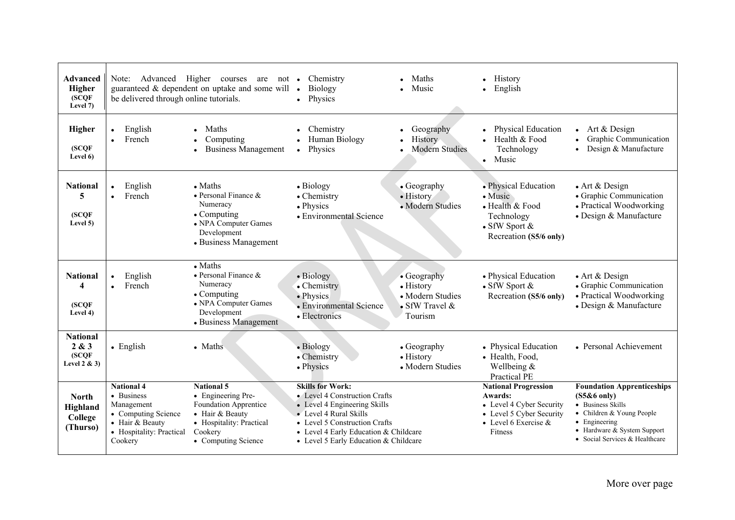| <b>Advanced</b><br>Higher<br>SCQF<br>Level 7)          | be delivered through online tutorials.                                                                                         | Note: Advanced Higher courses are not •<br>guaranteed $\&$ dependent on uptake and some will $\bullet$                                              | Chemistry<br>Biology<br>Physics                                                                                                                                                                                                       | Maths<br>Music                                                                    | • History<br>English                                                                                                                 |                                                                                                                                                                                        |
|--------------------------------------------------------|--------------------------------------------------------------------------------------------------------------------------------|-----------------------------------------------------------------------------------------------------------------------------------------------------|---------------------------------------------------------------------------------------------------------------------------------------------------------------------------------------------------------------------------------------|-----------------------------------------------------------------------------------|--------------------------------------------------------------------------------------------------------------------------------------|----------------------------------------------------------------------------------------------------------------------------------------------------------------------------------------|
| <b>Higher</b><br>(SCQF)<br>Level 6)                    | English<br>$\bullet$<br>French<br>$\bullet$                                                                                    | Maths<br>Computing<br><b>Business Management</b>                                                                                                    | Chemistry<br>Human Biology<br>Physics<br>$\bullet$                                                                                                                                                                                    | Geography<br>History<br><b>Modern Studies</b>                                     | Physical Education<br>$\bullet$ Health & Food<br>Technology<br>Music<br>$\bullet$                                                    | Art & Design<br>$\bullet$<br>Graphic Communication<br>Design & Manufacture                                                                                                             |
| <b>National</b><br>5<br>(SCOF)<br>Level 5)             | English<br>$\bullet$<br>French<br>$\bullet$                                                                                    | $\bullet$ Maths<br>• Personal Finance $\&$<br>Numeracy<br>$\bullet$ Computing<br>• NPA Computer Games<br>Development<br>• Business Management       | • Biology<br>• Chemistry<br>• Physics<br>• Environmental Science                                                                                                                                                                      | $\bullet$ Geography<br>• History<br>• Modern Studies                              | • Physical Education<br>$\bullet$ Music<br>• Health & Food<br>Technology<br>$\bullet$ SfW Sport $\&$<br>Recreation (S5/6 only)       | $\bullet$ Art & Design<br>• Graphic Communication<br>• Practical Woodworking<br>• Design & Manufacture                                                                                 |
| <b>National</b><br>4<br>SCOF<br>Level 4)               | English<br>$\bullet$<br>French<br>$\bullet$                                                                                    | $\bullet$ Maths<br>• Personal Finance $\&$<br>Numeracy<br>$\bullet$ Computing<br>• NPA Computer Games<br>Development<br>• Business Management       | • Biology<br>• Chemistry<br>• Physics<br>• Environmental Science<br>• Electronics                                                                                                                                                     | • Geography<br>$\bullet$ History<br>• Modern Studies<br>• SfW Travel &<br>Tourism | • Physical Education<br>$\bullet$ SfW Sport $\&$<br>Recreation (S5/6 only)                                                           | $\bullet$ Art & Design<br>• Graphic Communication<br>• Practical Woodworking<br>• Design & Manufacture                                                                                 |
| <b>National</b><br>2 & 3<br>(SCQF)<br>Level $2 \& 3$ ) | $\bullet$ English                                                                                                              | • Maths                                                                                                                                             | • Biology<br>• Chemistry<br>• Physics                                                                                                                                                                                                 | $\bullet$ Geography<br>• History<br>• Modern Studies                              | • Physical Education<br>• Health, Food,<br>Wellbeing $&$<br>Practical PE                                                             | • Personal Achievement                                                                                                                                                                 |
| <b>North</b><br>Highland<br>College<br>(Thurso)        | <b>National 4</b><br>• Business<br>Management<br>• Computing Science<br>• Hair & Beauty<br>• Hospitality: Practical<br>Cookery | <b>National 5</b><br>• Engineering Pre-<br>Foundation Apprentice<br>• Hair $&$ Beauty<br>• Hospitality: Practical<br>Cookery<br>• Computing Science | <b>Skills for Work:</b><br>• Level 4 Construction Crafts<br>• Level 4 Engineering Skills<br>• Level 4 Rural Skills<br>• Level 5 Construction Crafts<br>• Level 4 Early Education & Childcare<br>• Level 5 Early Education & Childcare |                                                                                   | <b>National Progression</b><br>Awards:<br>• Level 4 Cyber Security<br>• Level 5 Cyber Security<br>• Level 6 Exercise $\&$<br>Fitness | <b>Foundation Apprenticeships</b><br>$(S5&6$ only)<br>• Business Skills<br>• Children & Young People<br>• Engineering<br>• Hardware & System Support<br>• Social Services & Healthcare |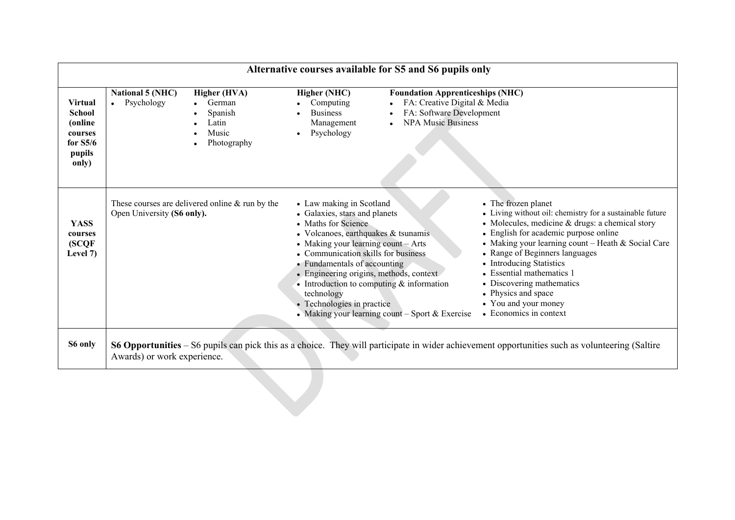| <b>Virtual</b><br><b>School</b><br>(online<br>courses<br>for $S5/6$<br>pupils<br>only) | <b>National 5 (NHC)</b><br>Psychology | Higher (HVA)<br>German<br>Spanish<br>Latin<br>Music<br>Photography | Higher (NHC)<br>• Computing<br><b>Business</b><br>Management<br>Psychology                                                                                                                                                                                                                                                                                                               | <b>Foundation Apprenticeships (NHC)</b><br>FA: Creative Digital & Media<br>FA: Software Development<br><b>NPA Music Business</b> |                                                                                                                                                                                                                                                                                                                                                                                                                                            |
|----------------------------------------------------------------------------------------|---------------------------------------|--------------------------------------------------------------------|------------------------------------------------------------------------------------------------------------------------------------------------------------------------------------------------------------------------------------------------------------------------------------------------------------------------------------------------------------------------------------------|----------------------------------------------------------------------------------------------------------------------------------|--------------------------------------------------------------------------------------------------------------------------------------------------------------------------------------------------------------------------------------------------------------------------------------------------------------------------------------------------------------------------------------------------------------------------------------------|
| <b>YASS</b><br>courses<br>(SCQF<br>Level 7)                                            | Open University (S6 only).            | These courses are delivered online $&$ run by the                  | • Law making in Scotland<br>• Galaxies, stars and planets<br>• Maths for Science<br>$\bullet$ Volcanoes, earthquakes $\&$ tsunamis<br>• Making your learning count $-$ Arts<br>• Communication skills for business<br>• Fundamentals of accounting<br>• Engineering origins, methods, context<br>• Introduction to computing $&$ information<br>technology<br>• Technologies in practice | • Making your learning count $-$ Sport & Exercise                                                                                | • The frozen planet<br>• Living without oil: chemistry for a sustainable future<br>$\bullet$ Molecules, medicine & drugs: a chemical story<br>• English for academic purpose online<br>• Making your learning count - Heath & Social Care<br>• Range of Beginners languages<br>• Introducing Statistics<br>• Essential mathematics 1<br>• Discovering mathematics<br>• Physics and space<br>• You and your money<br>• Economics in context |
| S6 only                                                                                | Awards) or work experience.           |                                                                    |                                                                                                                                                                                                                                                                                                                                                                                          |                                                                                                                                  | S6 Opportunities – S6 pupils can pick this as a choice. They will participate in wider achievement opportunities such as volunteering (Saltire                                                                                                                                                                                                                                                                                             |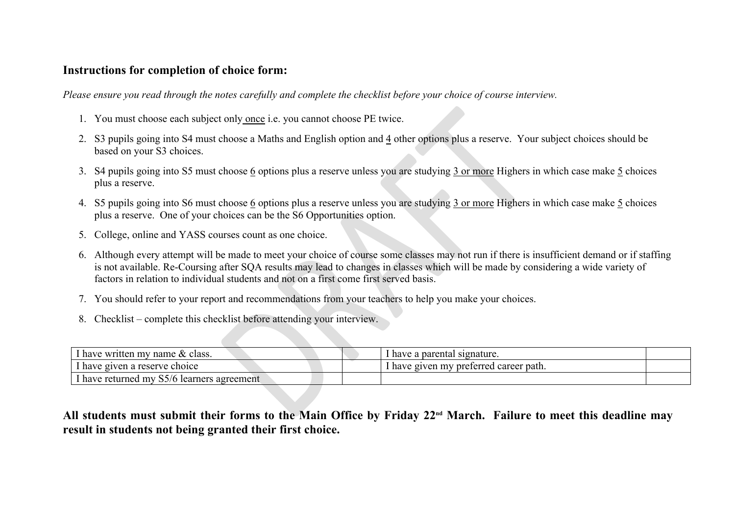## **Instructions for completion of choice form:**

*Please ensure you read through the notes carefully and complete the checklist before your choice of course interview.*

- 1. You must choose each subject only once i.e. you cannot choose PE twice.
- 2. S3 pupils going into S4 must choose a Maths and English option and 4 other options plus a reserve. Your subject choices should be based on your S3 choices.
- 3. S4 pupils going into S5 must choose 6 options plus a reserve unless you are studying 3 or more Highers in which case make 5 choices plus a reserve.
- 4. S5 pupils going into S6 must choose 6 options plus a reserve unless you are studying 3 or more Highers in which case make 5 choices plus a reserve. One of your choices can be the S6 Opportunities option.
- 5. College, online and YASS courses count as one choice.
- 6. Although every attempt will be made to meet your choice of course some classes may not run if there is insufficient demand or if staffing is not available. Re-Coursing after SQA results may lead to changes in classes which will be made by considering a wide variety of factors in relation to individual students and not on a first come first served basis.
- 7. You should refer to your report and recommendations from your teachers to help you make your choices.
- 8. Checklist complete this checklist before attending your interview.

|    | 1. You must choose each subject only <u>once</u> i.e. you cannot choose PE twice.                                                                                                                                                                                                                                                                                            |                                        |  |  |
|----|------------------------------------------------------------------------------------------------------------------------------------------------------------------------------------------------------------------------------------------------------------------------------------------------------------------------------------------------------------------------------|----------------------------------------|--|--|
| 2. | S3 pupils going into S4 must choose a Maths and English option and 4 other options plus a reserve. Your subject choices should be<br>based on your S3 choices.                                                                                                                                                                                                               |                                        |  |  |
| 3. | S4 pupils going into S5 must choose 6 options plus a reserve unless you are studying 3 or more Highers in which case make 5 choices<br>plus a reserve.                                                                                                                                                                                                                       |                                        |  |  |
|    | 4. S5 pupils going into S6 must choose 6 options plus a reserve unless you are studying 3 or more Highers in which case make 5 choices<br>plus a reserve. One of your choices can be the S6 Opportunities option.                                                                                                                                                            |                                        |  |  |
| 5. | College, online and YASS courses count as one choice.                                                                                                                                                                                                                                                                                                                        |                                        |  |  |
|    | 6. Although every attempt will be made to meet your choice of course some classes may not run if there is insufficient demand or if staffing<br>is not available. Re-Coursing after SQA results may lead to changes in classes which will be made by considering a wide variety of<br>factors in relation to individual students and not on a first come first served basis. |                                        |  |  |
| 7. | You should refer to your report and recommendations from your teachers to help you make your choices.                                                                                                                                                                                                                                                                        |                                        |  |  |
| 8. | Checklist – complete this checklist before attending your interview.                                                                                                                                                                                                                                                                                                         |                                        |  |  |
|    |                                                                                                                                                                                                                                                                                                                                                                              |                                        |  |  |
|    | I have written my name & class.                                                                                                                                                                                                                                                                                                                                              | I have a parental signature.           |  |  |
|    | I have given a reserve choice                                                                                                                                                                                                                                                                                                                                                | I have given my preferred career path. |  |  |
|    |                                                                                                                                                                                                                                                                                                                                                                              |                                        |  |  |

**All students must submit their forms to the Main Office by Friday 22nd March. Failure to meet this deadline may result in students not being granted their first choice.**